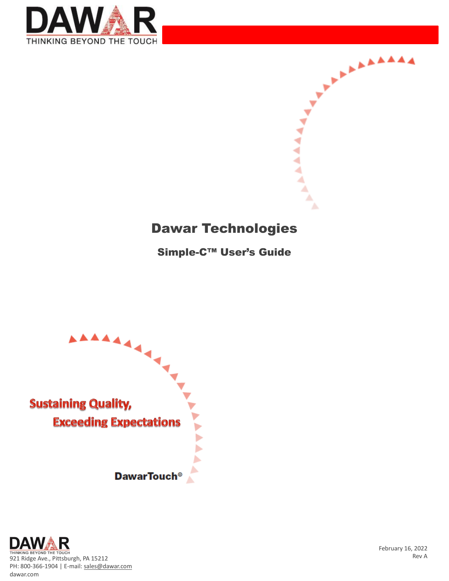



#### Dawar Technologies

Simple-C™ User's Guide





February 16, 2022 Rev A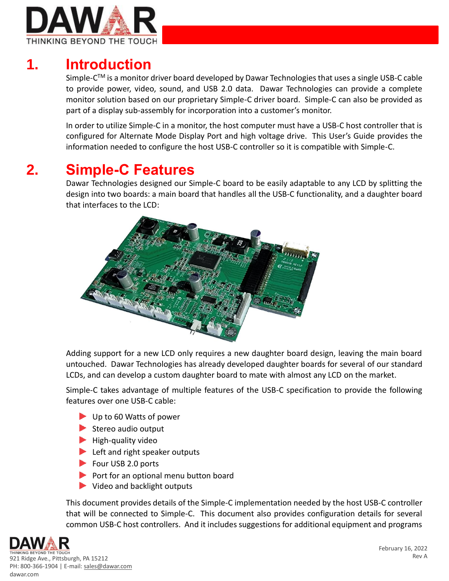

## **1. Introduction**

Simple-C™ is a monitor driver board developed by Dawar Technologies that uses a single USB-C cable to provide power, video, sound, and USB 2.0 data. Dawar Technologies can provide a complete monitor solution based on our proprietary Simple-C driver board. Simple-C can also be provided as part of a display sub-assembly for incorporation into a customer's monitor.

In order to utilize Simple-C in a monitor, the host computer must have a USB-C host controller that is configured for Alternate Mode Display Port and high voltage drive. This User's Guide provides the information needed to configure the host USB-C controller so it is compatible with Simple-C.

## **2. Simple-C Features**

Dawar Technologies designed our Simple-C board to be easily adaptable to any LCD by splitting the design into two boards: a main board that handles all the USB-C functionality, and a daughter board that interfaces to the LCD:



Adding support for a new LCD only requires a new daughter board design, leaving the main board untouched. Dawar Technologies has already developed daughter boards for several of our standard LCDs, and can develop a custom daughter board to mate with almost any LCD on the market.

Simple-C takes advantage of multiple features of the USB-C specification to provide the following features over one USB-C cable:

- Up to 60 Watts of power
- $\blacktriangleright$  Stereo audio output
- $\blacktriangleright$  High-quality video
- Left and right speaker outputs
- Four USB 2.0 ports
- Port for an optional menu button board
- Video and backlight outputs

This document provides details of the Simple-C implementation needed by the host USB-C controller that will be connected to Simple-C. This document also provides configuration details for several common USB-C host controllers. And it includes suggestions for additional equipment and programs



921 Ridge Ave., Pittsburgh, PA 15212 PH: 800-366-1904 | E-mail[: sales@dawar.com](mailto:sales@dawar.com) dawar.com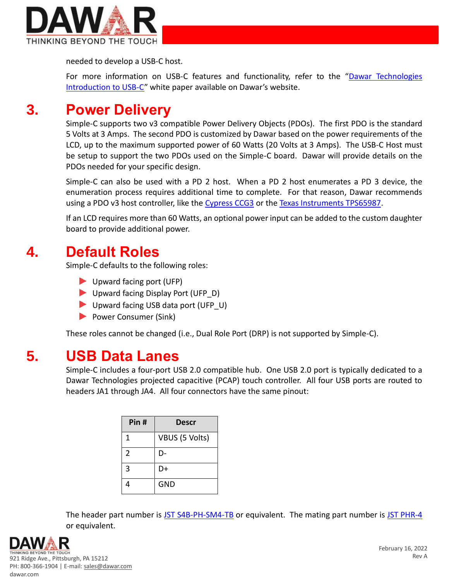

needed to develop a USB-C host.

For more information on USB-C features and functionality, refer to the "Dawar Technologies [Introduction to USB-C"](http://www.dawar.com/Files/Admin/USB-C/Dawar-Technologies-Introduction-to-USB-C-Rev-A.pdf) white paper available on Dawar's website.

### **3. Power Delivery**

Simple-C supports two v3 compatible Power Delivery Objects (PDOs). The first PDO is the standard 5 Volts at 3 Amps. The second PDO is customized by Dawar based on the power requirements of the LCD, up to the maximum supported power of 60 Watts (20 Volts at 3 Amps). The USB-C Host must be setup to support the two PDOs used on the Simple-C board. Dawar will provide details on the PDOs needed for your specific design.

Simple-C can also be used with a PD 2 host. When a PD 2 host enumerates a PD 3 device, the enumeration process requires additional time to complete. For that reason, Dawar recommends using a PDO v3 host controller, like th[e Cypress CCG3](https://www.infineon.com/cms/en/product/universal-serial-bus-usb-power-delivery-controller/usb-c-and-power-delivery/ez-pd-ccg3-type-c-port-controller-pd/) or the [Texas Instruments TPS65987.](https://www.ti.com/product/TPS65987D?utm_source=google&utm_medium=cpc&utm_campaign=APP-PSIL-PI-prodfolderdynamic-cpc-pf-google-wwe&utm_content=prodfolddynamic&ds_k=DYNAMIC+SEARCH+ADS&DCM=yes&gclid=Cj0KCQiAmeKQBhDvARIsAHJ7mF5llAdvIroTKRwr6KlcEY0DOGiWsYwGHBW_813DundLnSiu0Y9N3_UaAjV5EALw_wcB&gclsrc=aw.ds)

If an LCD requires more than 60 Watts, an optional power input can be added to the custom daughter board to provide additional power.

### **4. Default Roles**

Simple-C defaults to the following roles:

- Upward facing port (UFP)
- Upward facing Display Port (UFP\_D)
- Upward facing USB data port (UFP\_U)
- Power Consumer (Sink)

These roles cannot be changed (i.e., Dual Role Port (DRP) is not supported by Simple-C).

#### **5. USB Data Lanes**

Simple-C includes a four-port USB 2.0 compatible hub. One USB 2.0 port is typically dedicated to a Dawar Technologies projected capacitive (PCAP) touch controller. All four USB ports are routed to headers JA1 through JA4. All four connectors have the same pinout:

| Pin #          | <b>Descr</b>   |
|----------------|----------------|
| 1              | VBUS (5 Volts) |
| $\overline{2}$ | D-             |
| 3              | D+             |
|                | <b>GND</b>     |

The header part number is [JST S4B-PH-SM4-TB](https://www.digikey.com/en/products/detail/jst-sales-america-inc/S4B-PH-SM4-TB-LF-SN/926657) or equivalent. The mating part number is [JST PHR-4](https://www.digikey.com/en/products/detail/jst-sales-america-inc/PHR-4/608606) or equivalent.

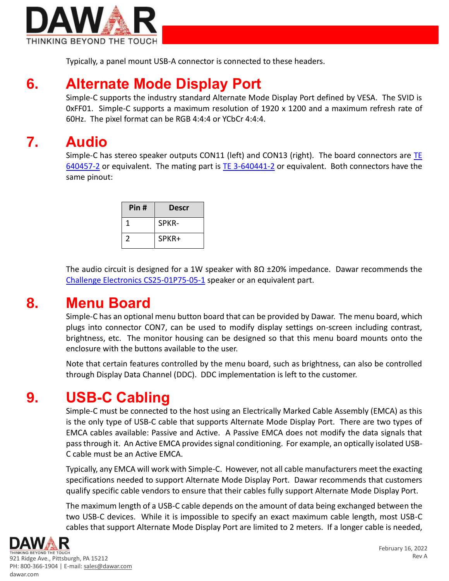

Typically, a panel mount USB-A connector is connected to these headers.

## **6. Alternate Mode Display Port**

Simple-C supports the industry standard Alternate Mode Display Port defined by VESA. The SVID is 0xFF01. Simple-C supports a maximum resolution of 1920 x 1200 and a maximum refresh rate of 60Hz. The pixel format can be RGB 4:4:4 or YCbCr 4:4:4.

# **7. Audio**

Simple-C has stereo speaker outputs CON11 (left) and CON13 (right). The board connectors are TE [640457-2](https://www.digikey.com/en/products/detail/te-connectivity-amp-connectors/640457-2/14822963?s=N4IgjCBcoBw1oDGUBmBDANgZwKYBoQB7KAbXACYwBmcgNhAF0CAHAFyhAGVWAnASwB2AcxABfUQXKkQAFQCiAAloAWAAzKArAHYAtFIaigA) or equivalent. The mating part is [TE 3-640441-2](https://www.digikey.com/en/products/detail/te-connectivity-amp-connectors/3-640441-2/698221?s=N4IgTCBcDaICoFEAEBmAtANgCwAYtYEY0wkQBdAXyA) or equivalent. Both connectors have the same pinout:

| Pin# | <b>Descr</b> |
|------|--------------|
|      | SPKR-        |
|      | SPKR+        |

The audio circuit is designed for a 1W speaker with  $8\Omega \pm 20\%$  impedance. Dawar recommends the [Challenge Electronics CS25-01P75-05-1](https://www.challengeelectronics.com/speakers/pdf/CS25-01P75-05-1.pdf?cc=20211127104810) speaker or an equivalent part.

### **8. Menu Board**

Simple-C has an optional menu button board that can be provided by Dawar. The menu board, which plugs into connector CON7, can be used to modify display settings on-screen including contrast, brightness, etc. The monitor housing can be designed so that this menu board mounts onto the enclosure with the buttons available to the user.

Note that certain features controlled by the menu board, such as brightness, can also be controlled through Display Data Channel (DDC). DDC implementation is left to the customer.

## **9. USB-C Cabling**

Simple-C must be connected to the host using an Electrically Marked Cable Assembly (EMCA) as this is the only type of USB-C cable that supports Alternate Mode Display Port. There are two types of EMCA cables available: Passive and Active. A Passive EMCA does not modify the data signals that pass through it. An Active EMCA provides signal conditioning. For example, an optically isolated USB-C cable must be an Active EMCA.

Typically, any EMCA will work with Simple-C. However, not all cable manufacturers meet the exacting specifications needed to support Alternate Mode Display Port. Dawar recommends that customers qualify specific cable vendors to ensure that their cables fully support Alternate Mode Display Port.

The maximum length of a USB-C cable depends on the amount of data being exchanged between the two USB-C devices. While it is impossible to specify an exact maximum cable length, most USB-C cables that support Alternate Mode Display Port are limited to 2 meters. If a longer cable is needed,



921 Ridge Ave., Pittsburgh, PA 15212 PH: 800-366-1904 | E-mail[: sales@dawar.com](mailto:sales@dawar.com) dawar.com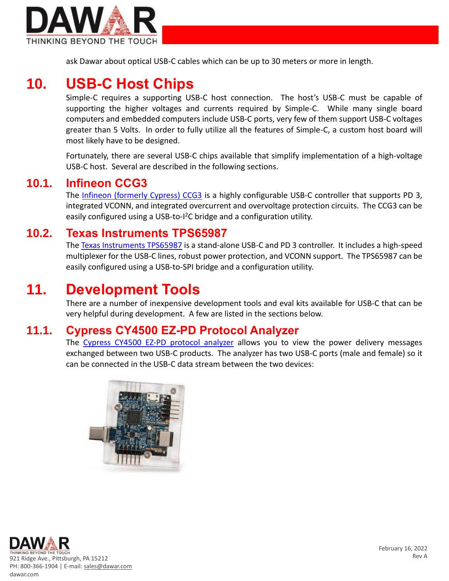

ask Dawar about optical USB-C cables which can be up to 30 meters or more in length.

## **10. USB-C Host Chips**

Simple-C requires a supporting USB-C host connection. The host's USB-C must be capable of supporting the higher voltages and currents required by Simple-C. While many single board computers and embedded computers include USB-C ports, very few of them support USB-C voltages greater than 5 Volts. In order to fully utilize all the features of Simple-C, a custom host board will most likely have to be designed.

Fortunately, there are several USB-C chips available that simplify implementation of a high-voltage USB-C host. Several are described in the following sections.

#### **10.1. Infineon CCG3**

The [Infineon \(formerly Cypress\) CCG3](https://www.infineon.com/cms/en/product/universal-serial-bus-usb-power-delivery-controller/usb-c-and-power-delivery/ez-pd-ccg3-type-c-port-controller-pd/) is a highly configurable USB-C controller that supports PD 3, integrated VCONN, and integrated overcurrent and overvoltage protection circuits. The CCG3 can be easily configured using a USB-to-I<sup>2</sup>C bridge and a configuration utility.

#### **10.2. Texas Instruments TPS65987**

Th[e Texas Instruments TPS65987](https://www.ti.com/product/TPS65987D?utm_source=google&utm_medium=cpc&utm_campaign=APP-PSIL-PI-prodfolderdynamic-cpc-pf-google-wwe&utm_content=prodfolddynamic&ds_k=DYNAMIC+SEARCH+ADS&DCM=yes&gclid=Cj0KCQiAmeKQBhDvARIsAHJ7mF5llAdvIroTKRwr6KlcEY0DOGiWsYwGHBW_813DundLnSiu0Y9N3_UaAjV5EALw_wcB&gclsrc=aw.ds) is a stand-alone USB-C and PD 3 controller. It includes a high-speed multiplexer for the USB-C lines, robust power protection, and VCONN support. The TPS65987 can be easily configured using a USB-to-SPI bridge and a configuration utility.

#### **11. Development Tools**

There are a number of inexpensive development tools and eval kits available for USB-C that can be very helpful during development. A few are listed in the sections below.

#### **11.1. Cypress CY4500 EZ-PD Protocol Analyzer**

The [Cypress CY4500 EZ-PD protocol analyzer](https://www.digikey.com/en/products/detail/cypress-semiconductor-corp/CY4500/6159169) allows you to view the power delivery messages exchanged between two USB-C products. The analyzer has two USB-C ports (male and female) so it can be connected in the USB-C data stream between the two devices:



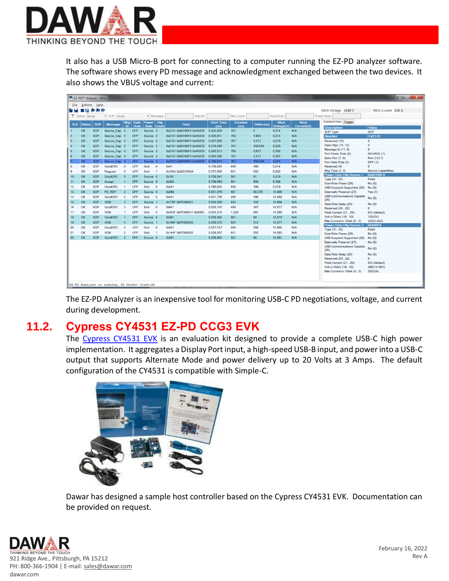

It also has a USB Micro-B port for connecting to a computer running the EZ-PD analyzer software. The software shows every PD message and acknowledgment exchanged between the two devices. It also shows the VBUS voltage and current:

|                | $  x$<br>■ EZ-PD™ Analyzer Utility                          |            |                |                |            |                     |                |                           |                   |                 |            |                   |             |                                                              |                                     |
|----------------|-------------------------------------------------------------|------------|----------------|----------------|------------|---------------------|----------------|---------------------------|-------------------|-----------------|------------|-------------------|-------------|--------------------------------------------------------------|-------------------------------------|
|                | <b>File Actions Help</b>                                    |            |                |                |            |                     |                |                           |                   |                 |            |                   |             |                                                              |                                     |
| ی ط            | $\blacksquare$ $\blacksquare$ $\blacksquare$ $\blacksquare$ |            |                |                |            |                     |                |                           |                   |                 |            |                   |             | VBUS Voltage: 14.88 V                                        | VBUS Current: 0.06 A                |
|                | Status: None                                                |            | SOP: None      |                |            |                     | - Message:     | Msg ID:                   |                   | Obj Count:      |            | Data Role:        |             | Power Role:                                                  |                                     |
|                |                                                             |            |                |                |            | Msg Data Power Obj  |                |                           | <b>Start Time</b> | <b>Duration</b> |            | <b>Vbus</b>       | <b>Vbus</b> | Detailed View Trigger                                        |                                     |
| SLH            | Status                                                      | <b>SOP</b> | <b>Message</b> | Id             | Role       |                     | Role Count     | <b>Data</b>               | (us)              | (us)            | Delta (us) | <b>Voltage(V)</b> | Current(A)  | <b>Description</b>                                           | Value                               |
| 1              | <b>OK</b>                                                   | <b>SOP</b> | Source Cap 0   |                | <b>DFP</b> | Source <sub>2</sub> |                | 0x2161 0x80190F0 0x4A0C8  | 5.423.420         | 767             | $\Omega$   | 5.214             | N/A         | <b>SOP Type</b>                                              | <b>SOP</b>                          |
| $\overline{2}$ | OK                                                          | <b>SOP</b> | Source Cap 0   |                | <b>DFP</b> | Source <sub>2</sub> |                | 0x2161 0x80190F0 0x4A0C8  | 5.425.841         | 768             | 1.654      | 5.214             | N/A         | Header                                                       | 0x2161                              |
| 3              | OK                                                          | SOP        | Source Cap 0   |                | <b>DFP</b> | Source <sub>2</sub> |                | 0x2161 0x80190F0 0x4A0C8  | 5.427.826         | 767             | 1.217      | 5.219             | N/A         | Reserved (15)                                                | $\mathbf 0$                         |
| $\overline{4}$ | OK                                                          | <b>SOP</b> | Source Cap 0   |                | <b>DFP</b> | Source <sub>2</sub> |                | 0x2161 0x80190F0 0x4A0C8  | 5,579,209         | 767             | 150,616    | 5,225             | N/A         | Data Objs (1412)                                             | $\overline{2}$                      |
| 5              | OK                                                          | <b>SOP</b> | Source Cap 0   |                | <b>DFP</b> | Source <sub>2</sub> |                | 0x2161 0x80190F0 0x4A0C8  | 5,582,613         | 768             | 2.637      | 5.192             | N/A         | Message Id (11.9)                                            | $\mathbf{0}$                        |
| $\overline{6}$ | OK                                                          | <b>SOP</b> | Source Cap 0   |                | <b>DFP</b> | Source <sub>2</sub> |                | 0x2161 0x80190F0 0x4A0C8  | 5,584,598         | 767             | 1,217      | 5.197             | N/A         | Port Power Role (8)<br><b>Spec Rev (76)</b>                  | SOURCE (1)<br>Rev 2.0 (1)           |
|                | OK                                                          | <b>SOP</b> | Source Cap 0   |                | <b>DFP</b> | Source 2            |                | 0x2161 0x80190F0 0x4A0C8  | 5,735,913         | 767             | 150,548    | 5.214             | N/A         | Port Data Role (5)                                           | DFP(1)                              |
| 8              | OK                                                          | <b>SOP</b> | GoodCRC        | $\overline{0}$ | <b>UFP</b> | Sink 0              |                | 0x41                      | 5,736,825         | 498             | 145        | 5.214             | N/A         | Reserved (4)                                                 | $\mathbf{0}$                        |
| 9              | OK                                                          | <b>SOP</b> | <b>Request</b> | $\mathbf 0$    | <b>UFP</b> | Sink                | $\blacksquare$ | 0x1042 0x2201685A         | 5.737.855         | 631             | 532        | 5.203             | N/A         | Msg Type $(3.0)$                                             | <b>Source Capabilities</b>          |
| 10             | OK                                                          | <b>SOP</b> | <b>GoodCRC</b> | $\overline{0}$ | <b>DFP</b> | Source 0            |                | 0x161                     | 5,738,547         | 501             | 61         | 5,219             | N/A         | Power Data Obj-Source 1                                      | 0x80190F0                           |
| 11             | OK                                                          | SOP        | Accept         | $\mathbf{1}$   | <b>DFP</b> | Source 0            |                | 0x363                     | 5.739.556         | 501             | 508        | 5.186             | N/A         | Type (31.30)                                                 | Fixed                               |
| 12             | OK                                                          | SOP        | <b>GoodCRC</b> | $\mathbf{1}$   | <b>UFP</b> | Sink 0              |                | 0x241                     | 5,740,203         | 498             | 146        | 5,219             | N/A         | Dual-Role Power (29)                                         | No(0)                               |
| 13             | OK                                                          | <b>SOP</b> | PS RDY         | $\overline{2}$ | <b>DFP</b> | Source 0            |                | 0x566                     | 5,831,079         | 501             | 90.378     | 14.905            | N/A         | <b>USB Suspend Supported (28)</b><br>Externally Powered (27) | No(0)<br>Yes(1)                     |
| 14             | OK                                                          | <b>SOP</b> | <b>GoodCRC</b> | $\overline{2}$ | <b>UFP</b> | Sink 0              |                | 0x441                     | 5,831,726         | 498             | 146        | 14,888            | N/A         | <b>USB Communications Capable</b>                            |                                     |
|                | OK                                                          | SOP        | <b>VDM</b>     | 3              | <b>DFP</b> |                     |                |                           |                   | 634             | 102        |                   | N/A         | (26)                                                         | No(0)                               |
| 15             |                                                             |            |                |                |            | Source 1            |                | 0x176F 0xFF008001         | 5.832.326         |                 |            | 14.866            |             | Data Role Swap (25)                                          | No(0)                               |
| 16             | OK                                                          | <b>SOP</b> | <b>GoodCRC</b> | 3              | <b>UFP</b> | Sink 0              |                | 0x641                     | 5,833,107         | 499             | 147        | 14,877            | N/A         | Reserved (2422)                                              | $\mathbf{0}$                        |
| 17             | OK                                                          | <b>SOP</b> | <b>VDM</b>     | $\mathbf{1}$   | <b>UFP</b> | Sink 4              |                | 0x424F 0xFF008041 0x9000. | 5,834,270         | 1.028           | 664        | 14.899            | N/A         | Peak Current (2120)                                          | <b>IOC</b> (default)                |
| 18             | OK                                                          | <b>SOP</b> | <b>GoodCRC</b> | $\overline{1}$ | <b>DFP</b> | Source 0            |                | 0x361                     | 5,835,362         | 501             | 64         | 14.872            | N/A         | Volt in 50mV (1910)<br>Max Current in 10mA (90)              | 100(5V)<br>240(2.40A)               |
| 19             | <b>OK</b>                                                   | <b>SOP</b> | <b>VDM</b>     | $\overline{4}$ | <b>DFP</b> | Source 1            |                | 0x196F 0xFF008002         | 5.836.375         | 634             | 512        | 14.877            | N/A         | Power Data Obj-Source 2                                      | 0x4A0C8                             |
| 20             | OK                                                          | <b>SOP</b> | <b>GoodCRC</b> | $\overline{4}$ | <b>UFP</b> | Sink 0              |                | 0x841                     | 5.837.157         | 498             | 148        | 14,905            | N/A         | Type (3130)                                                  | Fixed                               |
| 21             | OK                                                          | <b>SOP</b> | <b>VDM</b>     | $\overline{2}$ | <b>UFP</b> | Sink                | $\overline{1}$ | 0x144F 0xFF008082         | 5,838,207         | 631             | 552        | 14,883            | N/A         | Dual-Role Power (29)                                         | No(0)                               |
| 22             | OK                                                          | <b>SOP</b> | <b>GoodCRC</b> | $\overline{2}$ | <b>DFP</b> | Source 0            |                | 0x561                     | 5.838.904         | 501             | 66         | 14,861            | N/A         | <b>USB Suspend Supported (28)</b>                            | No(0)                               |
|                |                                                             |            |                |                |            |                     |                |                           |                   |                 |            |                   |             | Externally Powered (27)                                      | No(0)                               |
|                |                                                             |            |                |                |            |                     |                |                           |                   |                 |            |                   |             | <b>USB Communications Capable</b><br>(26)                    | No(0)                               |
|                |                                                             |            |                |                |            |                     |                |                           |                   |                 |            |                   |             | Data Role Swap (25)                                          | No(0)                               |
|                |                                                             |            |                |                |            |                     |                |                           |                   |                 |            |                   |             | Reserved (2422)                                              | $\mathbf{0}$                        |
|                |                                                             |            |                |                |            |                     |                |                           |                   |                 |            |                   |             | Peak Current (2120)<br>Volt in 50mV (1910)                   | <b>IOC</b> (default)<br>296(14.80V) |
|                |                                                             |            |                |                |            |                     |                |                           |                   |                 |            |                   |             | Max Current in 10mA (90)                                     | 200(2A)                             |
|                |                                                             |            |                |                |            |                     |                |                           |                   |                 |            |                   |             |                                                              |                                     |
|                |                                                             |            |                |                |            |                     |                |                           |                   |                 |            |                   |             |                                                              |                                     |
|                | EZ-PD Analyzer is running. PD Packet Count:22               |            |                |                |            |                     |                |                           |                   |                 |            |                   |             |                                                              |                                     |

The EZ-PD Analyzer is an inexpensive tool for monitoring USB-C PD negotiations, voltage, and current during development.

#### **11.2. Cypress CY4531 EZ-PD CCG3 EVK**

The [Cypress CY4531 EVK](https://www.digikey.com/en/products/detail/cypress-semiconductor-corp/CY4531/6189341?s=N4IgTCBcDaIMYE8AsBWAzARhAXQL5A) is an evaluation kit designed to provide a complete USB-C high power implementation. It aggregates a Display Port input, a high-speed USB-B input, and power into a USB-C output that supports Alternate Mode and power delivery up to 20 Volts at 3 Amps. The default configuration of the CY4531 is compatible with Simple-C.



Dawar has designed a sample host controller based on the Cypress CY4531 EVK. Documentation can be provided on request.

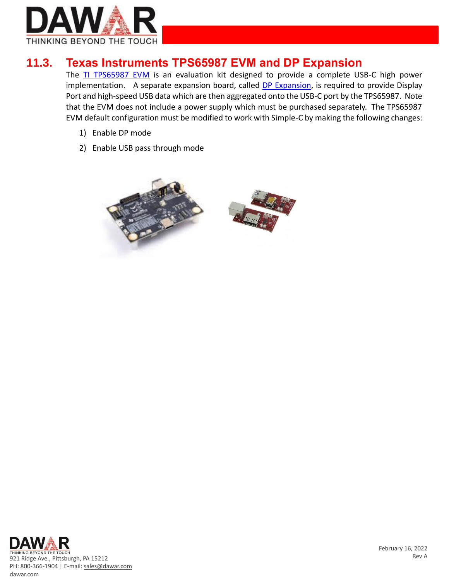

#### **11.3. Texas Instruments TPS65987 EVM and DP Expansion**

The [TI TPS65987 EVM](https://www.digikey.com/en/products/detail/texas-instruments/TPS65987EVM/10434565) is an evaluation kit designed to provide a complete USB-C high power implementation. A separate expansion board, called [DP Expansion,](https://www.digikey.com/en/products/detail/texas-instruments/DP-EXPANSION-EVM/7219326?s=N4IgTCBcDaIC4EsAEATADgWgKYA80EMA7AZwQHtCQBdAXyA) is required to provide Display Port and high-speed USB data which are then aggregated onto the USB-C port by the TPS65987. Note that the EVM does not include a power supply which must be purchased separately. The TPS65987 EVM default configuration must be modified to work with Simple-C by making the following changes:

- 1) Enable DP mode
- 2) Enable USB pass through mode